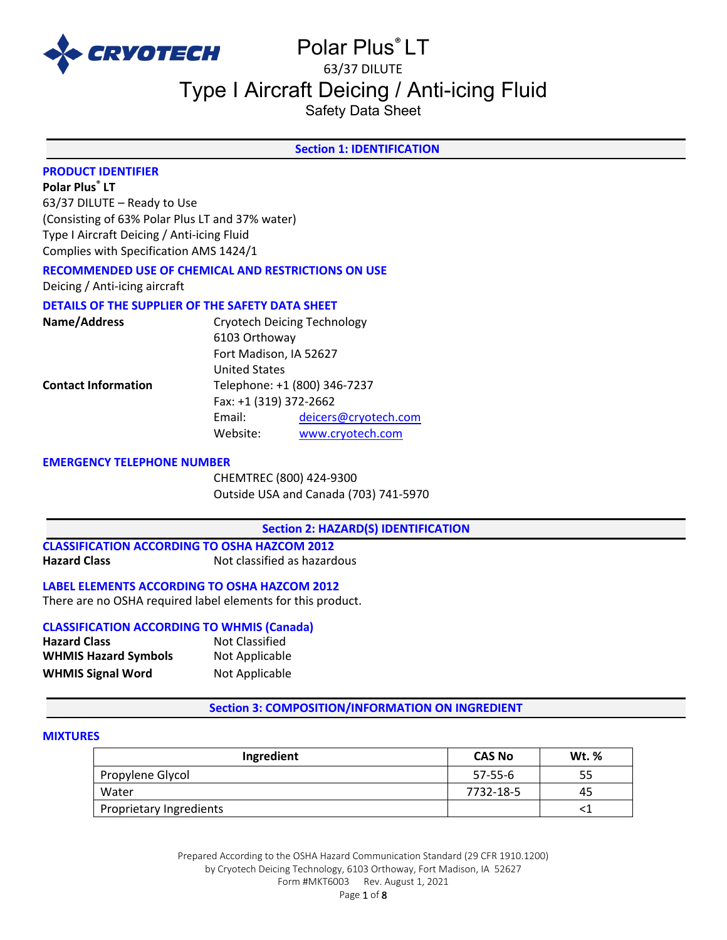

# Polar Plus® LT 63/37 DILUTE

# Type I Aircraft Deicing / Anti-icing Fluid

Safety Data Sheet

# **Section 1: IDENTIFICATION**

# **PRODUCT IDENTIFIER**

**Polar Plus® LT**

63/37 DILUTE – Ready to Use (Consisting of 63% Polar Plus LT and 37% water) Type I Aircraft Deicing / Anti-icing Fluid Complies with Specification AMS 1424/1

# **RECOMMENDED USE OF CHEMICAL AND RESTRICTIONS ON USE**

Deicing / Anti-icing aircraft

### **DETAILS OF THE SUPPLIER OF THE SAFETY DATA SHEET**

| Name/Address               | <b>Cryotech Deicing Technology</b> |                      |
|----------------------------|------------------------------------|----------------------|
|                            | 6103 Orthoway                      |                      |
|                            | Fort Madison, IA 52627             |                      |
|                            | <b>United States</b>               |                      |
| <b>Contact Information</b> | Telephone: +1 (800) 346-7237       |                      |
|                            | Fax: +1 (319) 372-2662             |                      |
|                            | Email:                             | deicers@cryotech.com |
|                            | Website:                           | www.cryotech.com     |

#### **EMERGENCY TELEPHONE NUMBER**

CHEMTREC (800) 424-9300 Outside USA and Canada (703) 741-5970

**Section 2: HAZARD(S) IDENTIFICATION** 

#### **CLASSIFICATION ACCORDING TO OSHA HAZCOM 2012 Hazard Class** Not classified as hazardous

**LABEL ELEMENTS ACCORDING TO OSHA HAZCOM 2012**

There are no OSHA required label elements for this product.

## **CLASSIFICATION ACCORDING TO WHMIS (Canada)**

| <b>Hazard Class</b>         | Not Classified |
|-----------------------------|----------------|
| <b>WHMIS Hazard Symbols</b> | Not Applicable |
| <b>WHMIS Signal Word</b>    | Not Applicable |

### **Section 3: COMPOSITION/INFORMATION ON INGREDIENT**

#### **MIXTURES**

| Ingredient              | <b>CAS No</b> | <b>Wt.</b> % |
|-------------------------|---------------|--------------|
| Propylene Glycol        | $57 - 55 - 6$ | 55           |
| Water                   | 7732-18-5     | 45           |
| Proprietary Ingredients |               |              |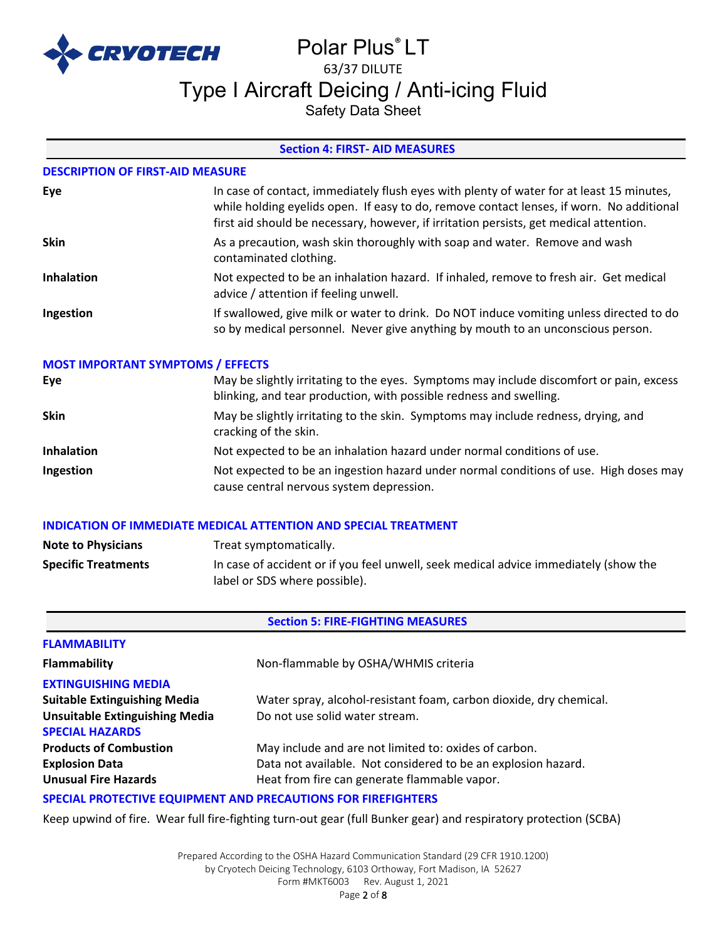

# Polar Plus® LT 63/37 DILUTE Type I Aircraft Deicing / Anti-icing Fluid

Safety Data Sheet

# **Section 4: FIRST- AID MEASURES**

#### **DESCRIPTION OF FIRST-AID MEASURE**

| Eye               | In case of contact, immediately flush eyes with plenty of water for at least 15 minutes,<br>while holding eyelids open. If easy to do, remove contact lenses, if worn. No additional<br>first aid should be necessary, however, if irritation persists, get medical attention. |
|-------------------|--------------------------------------------------------------------------------------------------------------------------------------------------------------------------------------------------------------------------------------------------------------------------------|
| <b>Skin</b>       | As a precaution, wash skin thoroughly with soap and water. Remove and wash<br>contaminated clothing.                                                                                                                                                                           |
| <b>Inhalation</b> | Not expected to be an inhalation hazard. If inhaled, remove to fresh air. Get medical<br>advice / attention if feeling unwell.                                                                                                                                                 |
| Ingestion         | If swallowed, give milk or water to drink. Do NOT induce vomiting unless directed to do<br>so by medical personnel. Never give anything by mouth to an unconscious person.                                                                                                     |

#### **MOST IMPORTANT SYMPTOMS / EFFECTS**

| Eye               | May be slightly irritating to the eyes. Symptoms may include discomfort or pain, excess<br>blinking, and tear production, with possible redness and swelling. |
|-------------------|---------------------------------------------------------------------------------------------------------------------------------------------------------------|
| <b>Skin</b>       | May be slightly irritating to the skin. Symptoms may include redness, drying, and<br>cracking of the skin.                                                    |
| <b>Inhalation</b> | Not expected to be an inhalation hazard under normal conditions of use.                                                                                       |
| Ingestion         | Not expected to be an ingestion hazard under normal conditions of use. High doses may<br>cause central nervous system depression.                             |

## **INDICATION OF IMMEDIATE MEDICAL ATTENTION AND SPECIAL TREATMENT**

| <b>Note to Physicians</b>  | Treat symptomatically.                                                                                                |
|----------------------------|-----------------------------------------------------------------------------------------------------------------------|
| <b>Specific Treatments</b> | In case of accident or if you feel unwell, seek medical advice immediately (show the<br>label or SDS where possible). |

# **Section 5: FIRE-FIGHTING MEASURES**

| <b>FLAMMABILITY</b>                                                  |                                                                    |  |
|----------------------------------------------------------------------|--------------------------------------------------------------------|--|
| <b>Flammability</b>                                                  | Non-flammable by OSHA/WHMIS criteria                               |  |
| <b>EXTINGUISHING MEDIA</b>                                           |                                                                    |  |
| <b>Suitable Extinguishing Media</b>                                  | Water spray, alcohol-resistant foam, carbon dioxide, dry chemical. |  |
| <b>Unsuitable Extinguishing Media</b>                                | Do not use solid water stream.                                     |  |
| <b>SPECIAL HAZARDS</b>                                               |                                                                    |  |
| <b>Products of Combustion</b>                                        | May include and are not limited to: oxides of carbon.              |  |
| <b>Explosion Data</b>                                                | Data not available. Not considered to be an explosion hazard.      |  |
| <b>Unusual Fire Hazards</b>                                          | Heat from fire can generate flammable vapor.                       |  |
| <b>SPECIAL PROTECTIVE EQUIPMENT AND PRECAUTIONS FOR FIREFIGHTERS</b> |                                                                    |  |

### Keep upwind of fire. Wear full fire-fighting turn-out gear (full Bunker gear) and respiratory protection (SCBA)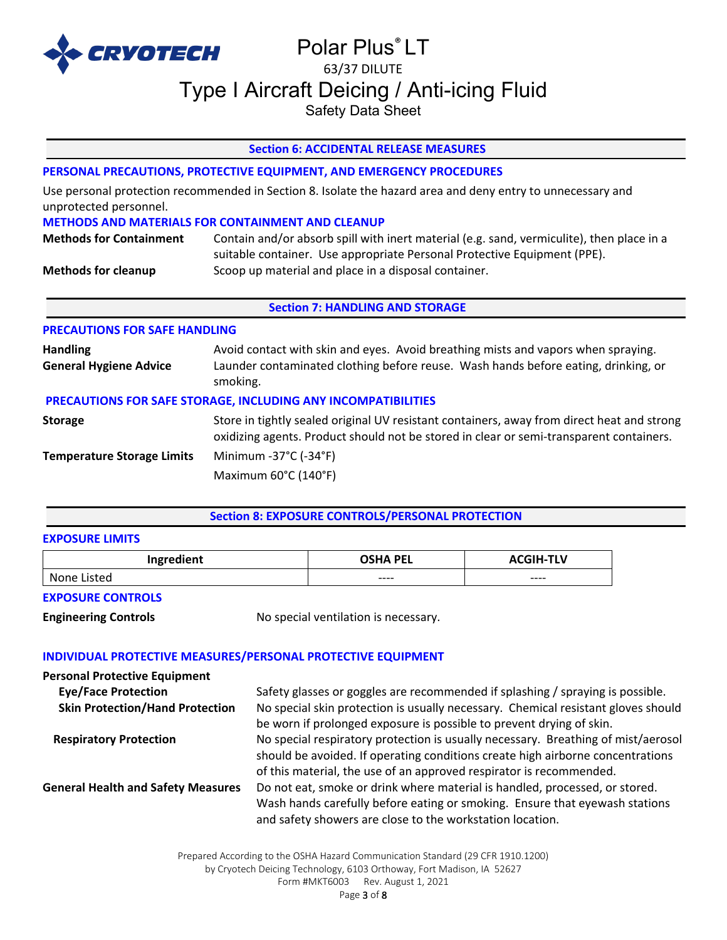

# Polar Plus® LT 63/37 DILUTE Type I Aircraft Deicing / Anti-icing Fluid

Safety Data Sheet

# **Section 6: ACCIDENTAL RELEASE MEASURES**

# **PERSONAL PRECAUTIONS, PROTECTIVE EQUIPMENT, AND EMERGENCY PROCEDURES**

Use personal protection recommended in Section 8. Isolate the hazard area and deny entry to unnecessary and unprotected personnel.

#### **METHODS AND MATERIALS FOR CONTAINMENT AND CLEANUP**

| <b>Methods for Containment</b> | Contain and/or absorb spill with inert material (e.g. sand, vermiculite), then place in a |
|--------------------------------|-------------------------------------------------------------------------------------------|
|                                | suitable container. Use appropriate Personal Protective Equipment (PPE).                  |
| <b>Methods for cleanup</b>     | Scoop up material and place in a disposal container.                                      |

# **Section 7: HANDLING AND STORAGE**

#### **PRECAUTIONS FOR SAFE HANDLING**

| <b>Handling</b><br><b>General Hygiene Advice</b>                     | Avoid contact with skin and eyes. Avoid breathing mists and vapors when spraying.<br>Launder contaminated clothing before reuse. Wash hands before eating, drinking, or<br>smoking.   |  |  |
|----------------------------------------------------------------------|---------------------------------------------------------------------------------------------------------------------------------------------------------------------------------------|--|--|
| <b>PRECAUTIONS FOR SAFE STORAGE, INCLUDING ANY INCOMPATIBILITIES</b> |                                                                                                                                                                                       |  |  |
| <b>Storage</b>                                                       | Store in tightly sealed original UV resistant containers, away from direct heat and strong<br>oxidizing agents. Product should not be stored in clear or semi-transparent containers. |  |  |
| <b>Temperature Storage Limits</b>                                    | Minimum -37°C (-34°F)                                                                                                                                                                 |  |  |
|                                                                      | Maximum 60°C (140°F)                                                                                                                                                                  |  |  |

### **Section 8: EXPOSURE CONTROLS/PERSONAL PROTECTION**

#### **EXPOSURE LIMITS**

| Ingredient | <b>OSHA PEL</b> | -TLV    |
|------------|-----------------|---------|
| ∟isted     | $--- -$         | $--- -$ |
| None       |                 |         |

### **EXPOSURE CONTROLS**

**Engineering Controls No special ventilation is necessary.** 

### **INDIVIDUAL PROTECTIVE MEASURES/PERSONAL PROTECTIVE EQUIPMENT**

| <b>Personal Protective Equipment</b>      |                                                                                                                                                                                                                                            |
|-------------------------------------------|--------------------------------------------------------------------------------------------------------------------------------------------------------------------------------------------------------------------------------------------|
| <b>Eye/Face Protection</b>                | Safety glasses or goggles are recommended if splashing / spraying is possible.                                                                                                                                                             |
| <b>Skin Protection/Hand Protection</b>    | No special skin protection is usually necessary. Chemical resistant gloves should<br>be worn if prolonged exposure is possible to prevent drying of skin.                                                                                  |
| <b>Respiratory Protection</b>             | No special respiratory protection is usually necessary. Breathing of mist/aerosol<br>should be avoided. If operating conditions create high airborne concentrations<br>of this material, the use of an approved respirator is recommended. |
| <b>General Health and Safety Measures</b> | Do not eat, smoke or drink where material is handled, processed, or stored.<br>Wash hands carefully before eating or smoking. Ensure that eyewash stations<br>and safety showers are close to the workstation location.                    |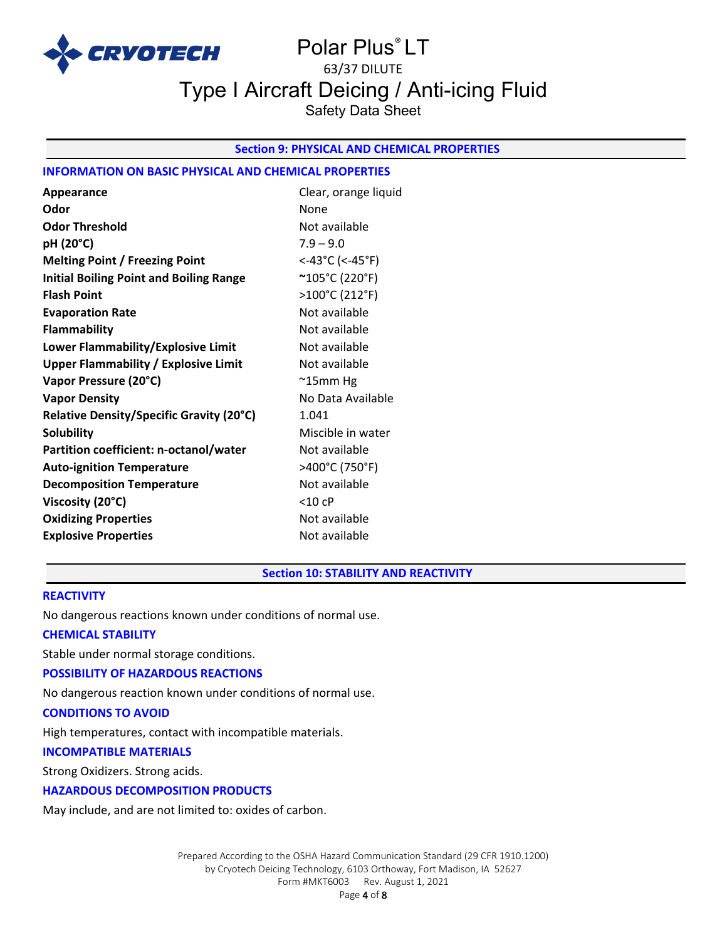

# Polar Plus® LT 63/37 DILUTE Type I Aircraft Deicing / Anti-icing Fluid Safety Data Sheet

# **Section 9: PHYSICAL AND CHEMICAL PROPERTIES**

# **INFORMATION ON BASIC PHYSICAL AND CHEMICAL PROPERTIES**

| Appearance                                     | Clear, orange liquid |
|------------------------------------------------|----------------------|
| Odor                                           | None                 |
| <b>Odor Threshold</b>                          | Not available        |
| pH (20°C)                                      | $7.9 - 9.0$          |
| <b>Melting Point / Freezing Point</b>          | <-43°C (<-45°F)      |
| <b>Initial Boiling Point and Boiling Range</b> | ~105°C (220°F)       |
| <b>Flash Point</b>                             | >100°C (212°F)       |
| <b>Evaporation Rate</b>                        | Not available        |
| <b>Flammability</b>                            | Not available        |
| Lower Flammability/Explosive Limit             | Not available        |
| <b>Upper Flammability / Explosive Limit</b>    | Not available        |
| Vapor Pressure (20°C)                          | $^{\sim}$ 15mm Hg    |
| <b>Vapor Density</b>                           | No Data Available    |
| Relative Density/Specific Gravity (20°C)       | 1.041                |
| <b>Solubility</b>                              | Miscible in water    |
| Partition coefficient: n-octanol/water         | Not available        |
| <b>Auto-ignition Temperature</b>               | >400°C (750°F)       |
| <b>Decomposition Temperature</b>               | Not available        |
| Viscosity (20°C)                               | $<$ 10 cP            |
| <b>Oxidizing Properties</b>                    | Not available        |
| <b>Explosive Properties</b>                    | Not available        |

**Section 10: STABILITY AND REACTIVITY** 

#### **REACTIVITY**

No dangerous reactions known under conditions of normal use.

#### **CHEMICAL STABILITY**

Stable under normal storage conditions.

#### **POSSIBILITY OF HAZARDOUS REACTIONS**

No dangerous reaction known under conditions of normal use.

# **CONDITIONS TO AVOID**

High temperatures, contact with incompatible materials.

# **INCOMPATIBLE MATERIALS**

Strong Oxidizers. Strong acids.

## **HAZARDOUS DECOMPOSITION PRODUCTS**

May include, and are not limited to: oxides of carbon.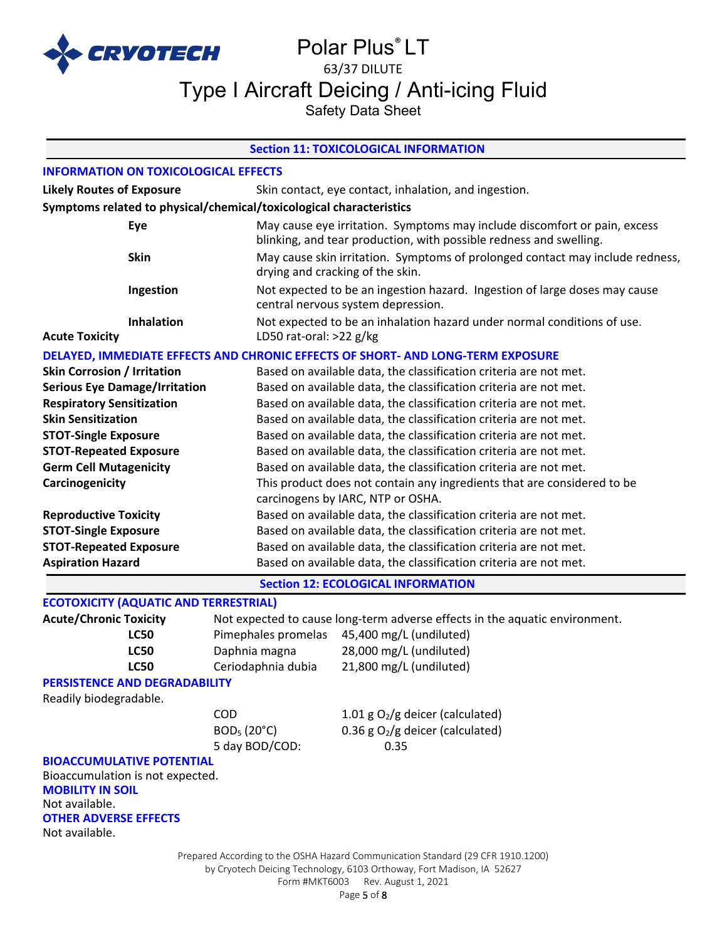

# Polar Plus<sup>®</sup> LT 63/37 DILUTE Type I Aircraft Deicing / Anti-icing Fluid

Safety Data Sheet

# **Section 11: TOXICOLOGICAL INFORMATION**

# **INFORMATION ON TOXICOLOGICAL EFFECTS**

| <b>Likely Routes of Exposure</b>                                    | Skin contact, eye contact, inhalation, and ingestion. |                                                                                                                                                 |  |  |
|---------------------------------------------------------------------|-------------------------------------------------------|-------------------------------------------------------------------------------------------------------------------------------------------------|--|--|
| Symptoms related to physical/chemical/toxicological characteristics |                                                       |                                                                                                                                                 |  |  |
| Eye                                                                 |                                                       | May cause eye irritation. Symptoms may include discomfort or pain, excess<br>blinking, and tear production, with possible redness and swelling. |  |  |
| <b>Skin</b>                                                         |                                                       | May cause skin irritation. Symptoms of prolonged contact may include redness,<br>drying and cracking of the skin.                               |  |  |
| Ingestion                                                           |                                                       | Not expected to be an ingestion hazard. Ingestion of large doses may cause<br>central nervous system depression.                                |  |  |
| Inhalation<br><b>Acute Toxicity</b>                                 |                                                       | Not expected to be an inhalation hazard under normal conditions of use.<br>LD50 rat-oral: >22 g/kg                                              |  |  |
|                                                                     |                                                       | DELAYED, IMMEDIATE EFFECTS AND CHRONIC EFFECTS OF SHORT- AND LONG-TERM EXPOSURE                                                                 |  |  |
| <b>Skin Corrosion / Irritation</b>                                  |                                                       | Based on available data, the classification criteria are not met.                                                                               |  |  |
| <b>Serious Eye Damage/Irritation</b>                                |                                                       | Based on available data, the classification criteria are not met.                                                                               |  |  |
| <b>Respiratory Sensitization</b>                                    |                                                       | Based on available data, the classification criteria are not met.                                                                               |  |  |
| <b>Skin Sensitization</b>                                           |                                                       | Based on available data, the classification criteria are not met.                                                                               |  |  |
| <b>STOT-Single Exposure</b>                                         |                                                       | Based on available data, the classification criteria are not met.                                                                               |  |  |
| <b>STOT-Repeated Exposure</b>                                       |                                                       | Based on available data, the classification criteria are not met.                                                                               |  |  |
| <b>Germ Cell Mutagenicity</b>                                       |                                                       | Based on available data, the classification criteria are not met.                                                                               |  |  |
| Carcinogenicity                                                     |                                                       | This product does not contain any ingredients that are considered to be                                                                         |  |  |
|                                                                     |                                                       | carcinogens by IARC, NTP or OSHA.                                                                                                               |  |  |
| <b>Reproductive Toxicity</b>                                        |                                                       | Based on available data, the classification criteria are not met.                                                                               |  |  |
| <b>STOT-Single Exposure</b>                                         |                                                       | Based on available data, the classification criteria are not met.                                                                               |  |  |
| <b>STOT-Repeated Exposure</b>                                       |                                                       | Based on available data, the classification criteria are not met.                                                                               |  |  |
| <b>Aspiration Hazard</b>                                            |                                                       | Based on available data, the classification criteria are not met.                                                                               |  |  |
|                                                                     |                                                       | <b>Section 12: ECOLOGICAL INFORMATION</b>                                                                                                       |  |  |
| <b>ECOTOXICITY (AQUATIC AND TERRESTRIAL)</b>                        |                                                       |                                                                                                                                                 |  |  |
| <b>Acute/Chronic Toxicity</b>                                       |                                                       | Not expected to cause long-term adverse effects in the aquatic environment.                                                                     |  |  |
| <b>LC50</b>                                                         | Pimephales promelas                                   | 45,400 mg/L (undiluted)                                                                                                                         |  |  |
| <b>LC50</b>                                                         | Daphnia magna                                         | 28,000 mg/L (undiluted)                                                                                                                         |  |  |
| <b>LC50</b>                                                         | Ceriodaphnia dubia                                    | 21,800 mg/L (undiluted)                                                                                                                         |  |  |
| PERSISTENCE AND DEGRADABILITY                                       |                                                       |                                                                                                                                                 |  |  |
| Readily biodegradable.                                              | COD                                                   |                                                                                                                                                 |  |  |
|                                                                     | BOD <sub>5</sub> (20°C)                               | 1.01 g $O_2/g$ deicer (calculated)<br>0.36 g $O_2/g$ deicer (calculated)                                                                        |  |  |
|                                                                     | 5 day BOD/COD:                                        | 0.35                                                                                                                                            |  |  |
| <b>BIOACCUMULATIVE POTENTIAL</b>                                    |                                                       |                                                                                                                                                 |  |  |
| Bioaccumulation is not expected.                                    |                                                       |                                                                                                                                                 |  |  |
| <b>MOBILITY IN SOIL</b>                                             |                                                       |                                                                                                                                                 |  |  |
| Not available.                                                      |                                                       |                                                                                                                                                 |  |  |
| <b>OTHER ADVERSE EFFECTS</b>                                        |                                                       |                                                                                                                                                 |  |  |
| Not available.                                                      |                                                       |                                                                                                                                                 |  |  |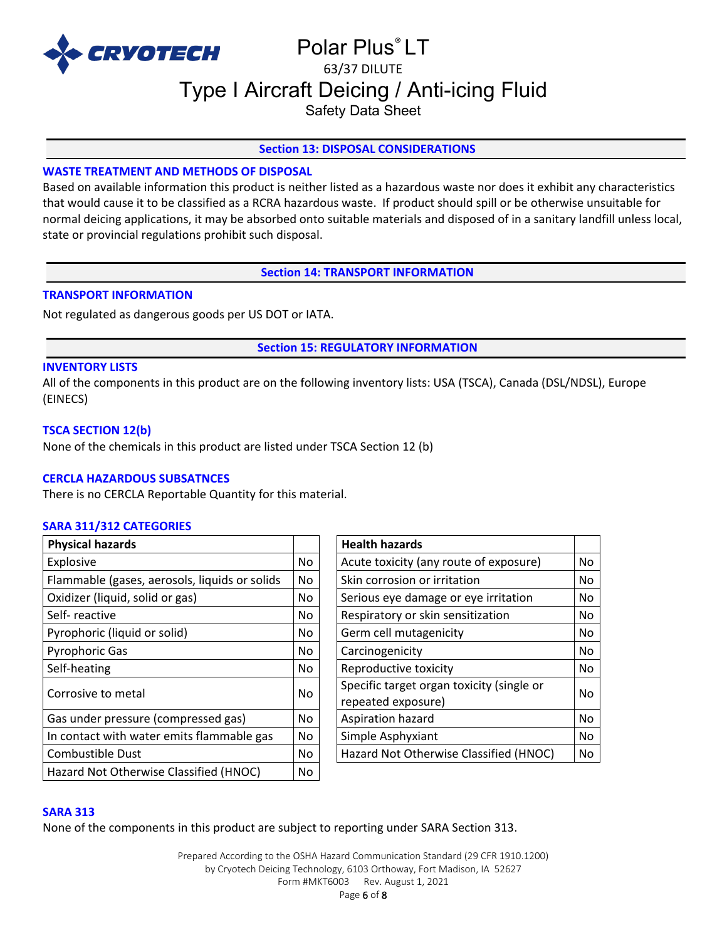

# Polar Plus® LT 63/37 DILUTE Type I Aircraft Deicing / Anti-icing Fluid

Safety Data Sheet

# **Section 13: DISPOSAL CONSIDERATIONS**

# **WASTE TREATMENT AND METHODS OF DISPOSAL**

Based on available information this product is neither listed as a hazardous waste nor does it exhibit any characteristics that would cause it to be classified as a RCRA hazardous waste. If product should spill or be otherwise unsuitable for normal deicing applications, it may be absorbed onto suitable materials and disposed of in a sanitary landfill unless local, state or provincial regulations prohibit such disposal.

**Section 14: TRANSPORT INFORMATION**

# **TRANSPORT INFORMATION**

Not regulated as dangerous goods per US DOT or IATA.

**Section 15: REGULATORY INFORMATION**

### **INVENTORY LISTS**

All of the components in this product are on the following inventory lists: USA (TSCA), Canada (DSL/NDSL), Europe (EINECS)

### **TSCA SECTION 12(b)**

None of the chemicals in this product are listed under TSCA Section 12 (b)

### **CERCLA HAZARDOUS SUBSATNCES**

There is no CERCLA Reportable Quantity for this material.

### **SARA 311/312 CATEGORIES**

| <b>Physical hazards</b>                       |           | <b>Health hazards</b>                                           |    |
|-----------------------------------------------|-----------|-----------------------------------------------------------------|----|
| Explosive                                     | No.       | Acute toxicity (any route of exposure)                          | No |
| Flammable (gases, aerosols, liquids or solids | No        | Skin corrosion or irritation                                    | No |
| Oxidizer (liquid, solid or gas)               | No        | Serious eye damage or eye irritation                            | No |
| Self-reactive                                 | No.       | Respiratory or skin sensitization                               | No |
| Pyrophoric (liquid or solid)                  | No.       | Germ cell mutagenicity                                          | No |
| <b>Pyrophoric Gas</b>                         | No.       | Carcinogenicity                                                 | No |
| Self-heating                                  | No.       | Reproductive toxicity                                           | No |
| Corrosive to metal                            | <b>No</b> | Specific target organ toxicity (single or<br>repeated exposure) | No |
| Gas under pressure (compressed gas)           | <b>No</b> | Aspiration hazard                                               | No |
| In contact with water emits flammable gas     | No        | Simple Asphyxiant                                               | No |
| Combustible Dust                              | No.       | Hazard Not Otherwise Classified (HNOC)                          | No |
| Hazard Not Otherwise Classified (HNOC)        | No        |                                                                 |    |

| <b>Health hazards</b>                                           |    |
|-----------------------------------------------------------------|----|
| Acute toxicity (any route of exposure)                          | No |
| Skin corrosion or irritation                                    |    |
| Serious eye damage or eye irritation                            | No |
| Respiratory or skin sensitization                               | No |
| Germ cell mutagenicity                                          | No |
| Carcinogenicity                                                 | No |
| Reproductive toxicity                                           | No |
| Specific target organ toxicity (single or<br>repeated exposure) | No |
| Aspiration hazard                                               |    |
| Simple Asphyxiant                                               |    |
| Hazard Not Otherwise Classified (HNOC)                          | No |

### **SARA 313**

None of the components in this product are subject to reporting under SARA Section 313.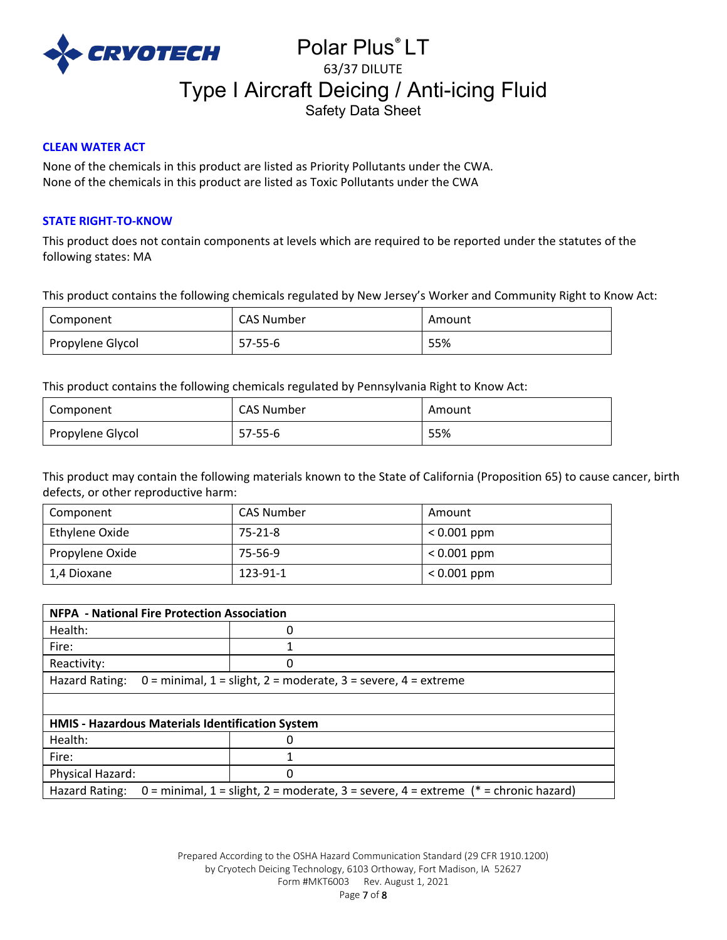

# Polar Plus® LT 63/37 DILUTE Type I Aircraft Deicing / Anti-icing Fluid Safety Data Sheet

# **CLEAN WATER ACT**

None of the chemicals in this product are listed as Priority Pollutants under the CWA. None of the chemicals in this product are listed as Toxic Pollutants under the CWA

# **STATE RIGHT-TO-KNOW**

This product does not contain components at levels which are required to be reported under the statutes of the following states: MA

This product contains the following chemicals regulated by New Jersey's Worker and Community Right to Know Act:

| Component        | <b>CAS Number</b> | Amount |
|------------------|-------------------|--------|
| Propylene Glycol | $57 - 55 - 6$     | 55%    |

This product contains the following chemicals regulated by Pennsylvania Right to Know Act:

| Component        | <b>CAS Number</b> | Amount |
|------------------|-------------------|--------|
| Propylene Glycol | 57-55-6           | 55%    |

This product may contain the following materials known to the State of California (Proposition 65) to cause cancer, birth defects, or other reproductive harm:

| Component       | <b>CAS Number</b> | Amount        |
|-----------------|-------------------|---------------|
| Ethylene Oxide  | 75-21-8           | $< 0.001$ ppm |
| Propylene Oxide | 75-56-9           | $< 0.001$ ppm |
| 1,4 Dioxane     | 123-91-1          | $< 0.001$ ppm |

| <b>NFPA - National Fire Protection Association</b>                                                       |   |  |
|----------------------------------------------------------------------------------------------------------|---|--|
| Health:                                                                                                  | O |  |
| Fire:                                                                                                    |   |  |
| Reactivity:                                                                                              |   |  |
| Hazard Rating:<br>$0 =$ minimal, $1 =$ slight, $2 =$ moderate, $3 =$ severe, $4 =$ extreme               |   |  |
|                                                                                                          |   |  |
| HMIS - Hazardous Materials Identification System                                                         |   |  |
| Health:                                                                                                  | O |  |
| Fire:                                                                                                    |   |  |
| Physical Hazard:                                                                                         | 0 |  |
| 0 = minimal, 1 = slight, 2 = moderate, 3 = severe, 4 = extreme ( $*$ = chronic hazard)<br>Hazard Rating: |   |  |